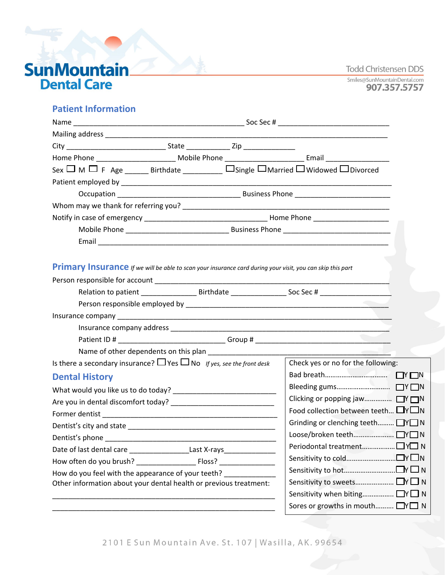**Todd Christensen DDS** 

Smiles@SunMountainDental.com 907.357.5757

# **SunMountain**<br>**Dental Care**

## **Patient Information**

|                                                                                                            |  |  | Sex $\Box$ M $\Box$ F Age ________ Birthdate _____________ $\Box$ Single $\Box$ Married $\Box$ Widowed $\Box$ Divorced                                                                                                         |
|------------------------------------------------------------------------------------------------------------|--|--|--------------------------------------------------------------------------------------------------------------------------------------------------------------------------------------------------------------------------------|
|                                                                                                            |  |  |                                                                                                                                                                                                                                |
|                                                                                                            |  |  |                                                                                                                                                                                                                                |
|                                                                                                            |  |  |                                                                                                                                                                                                                                |
|                                                                                                            |  |  |                                                                                                                                                                                                                                |
|                                                                                                            |  |  |                                                                                                                                                                                                                                |
|                                                                                                            |  |  |                                                                                                                                                                                                                                |
|                                                                                                            |  |  |                                                                                                                                                                                                                                |
| Primary Insurance If we will be able to scan your insurance card during your visit, you can skip this part |  |  |                                                                                                                                                                                                                                |
|                                                                                                            |  |  |                                                                                                                                                                                                                                |
|                                                                                                            |  |  |                                                                                                                                                                                                                                |
|                                                                                                            |  |  |                                                                                                                                                                                                                                |
|                                                                                                            |  |  |                                                                                                                                                                                                                                |
|                                                                                                            |  |  |                                                                                                                                                                                                                                |
|                                                                                                            |  |  | Patient ID # _____________________________Group # ______________________________                                                                                                                                               |
|                                                                                                            |  |  | Name of other dependents on this plan example and the state of the state of the state of the state of the state of the state of the state of the state of the state of the state of the state of the state of the state of the |
| Is there a secondary insurance? $\Box$ Yes $\Box$ No If yes, see the front desk                            |  |  | Check yes or no for the following:                                                                                                                                                                                             |
| <b>Dental History</b>                                                                                      |  |  |                                                                                                                                                                                                                                |
|                                                                                                            |  |  |                                                                                                                                                                                                                                |
|                                                                                                            |  |  | Clicking or popping jaw N                                                                                                                                                                                                      |
|                                                                                                            |  |  | Food collection between teeth $\Box Y \Box N$                                                                                                                                                                                  |
|                                                                                                            |  |  | Grinding or clenching teeth TY N                                                                                                                                                                                               |
| Dentist's phone                                                                                            |  |  |                                                                                                                                                                                                                                |
| Date of last dental care ______________________Last X-rays______________________                           |  |  | Periodontal treatment□ Y□ N                                                                                                                                                                                                    |
|                                                                                                            |  |  |                                                                                                                                                                                                                                |
| How do you feel with the appearance of your teeth?                                                         |  |  |                                                                                                                                                                                                                                |
| Other information about your dental health or previous treatment:                                          |  |  |                                                                                                                                                                                                                                |
|                                                                                                            |  |  | Sensitivity when biting □ Y□ N                                                                                                                                                                                                 |
|                                                                                                            |  |  | Sores or growths in mouth □ Y□ N                                                                                                                                                                                               |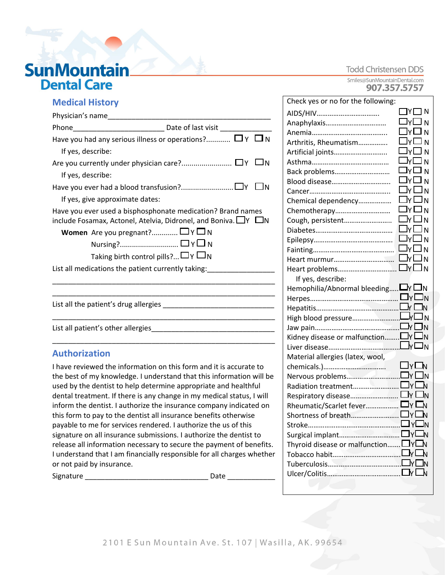# **SunMountain\_ Dental Care**

#### **Todd Christensen DDS**

Smiles@SunMountainDental.com 907.357.5757

## **Medical History**

| Physician's name                                                                                                                          |  |  |  |  |
|-------------------------------------------------------------------------------------------------------------------------------------------|--|--|--|--|
|                                                                                                                                           |  |  |  |  |
| Have you had any serious illness or operations? $\Box$ $\gamma$ $\Box$ N                                                                  |  |  |  |  |
| If yes, describe:                                                                                                                         |  |  |  |  |
|                                                                                                                                           |  |  |  |  |
| If yes, describe:                                                                                                                         |  |  |  |  |
|                                                                                                                                           |  |  |  |  |
| If yes, give approximate dates:                                                                                                           |  |  |  |  |
| Have you ever used a bisphosphonate medication? Brand names<br>include Fosamax, Actonel, Atelvia, Didronel, and Boniva. $\Box Y$ $\Box N$ |  |  |  |  |
| <b>Women</b> Are you pregnant? $\Box$ $\Upsilon$ $\Box$ N                                                                                 |  |  |  |  |
| $\mathsf{Nursing?} \dots \dots \dots \dots \dots \dots \dots \dots \dots \square \mathsf{Y} \square \mathsf{N}$                           |  |  |  |  |
| Taking birth control pills? $\Box$ $\Box$ $\Box$ $\Box$ $\Box$                                                                            |  |  |  |  |
| List all medications the patient currently taking:                                                                                        |  |  |  |  |
|                                                                                                                                           |  |  |  |  |
|                                                                                                                                           |  |  |  |  |
|                                                                                                                                           |  |  |  |  |
|                                                                                                                                           |  |  |  |  |
| List all patient's other allergies                                                                                                        |  |  |  |  |
|                                                                                                                                           |  |  |  |  |

## **Authorization**

I have reviewed the information on this form and it is accurate to the best of my knowledge. I understand that this information will be used by the dentist to help determine appropriate and healthful dental treatment. If there is any change in my medical status, I will inform the dentist. I authorize the insurance company indicated on this form to pay to the dentist all insurance benefits otherwise payable to me for services rendered. I authorize the us of this signature on all insurance submissions. I authorize the dentist to release all information necessary to secure the payment of benefits. I understand that I am financially responsible for all charges whether or not paid by insurance.

Signature \_\_\_\_\_\_\_\_\_\_\_\_\_\_\_\_\_\_\_\_\_\_\_\_\_\_\_\_\_\_\_ Date \_\_\_\_\_\_\_\_\_\_\_\_

| Check yes or no for the following:           |                          |
|----------------------------------------------|--------------------------|
| AIDS/HIV                                     | $\sqcap$ Y $\sqsubset$ N |
| Anaphylaxis                                  | Ωץ∟א                     |
|                                              | א ⊡ץ                     |
| Arthritis, Rheumatism                        | $\square$ y $\square$ N  |
| Artificial joints                            | □r□ n                    |
|                                              | $\square$ y $\square$ n  |
| Back problems                                | □Y□ N                    |
|                                              | $\square$ y $\square$ n  |
|                                              | ∐y∐ n                    |
| Chemical dependency                          | $\square$ y $\square$ n  |
| Chemotherapy                                 | □Y□N                     |
| Cough, persistent                            | $\Box$ Y $\Box$ N        |
|                                              | ∏y∏ n                    |
|                                              | □y□ n                    |
|                                              | □Y□N                     |
|                                              | $\Box$ y $\Box$ N        |
|                                              | □Y□ N                    |
| If yes, describe:                            |                          |
| Hemophilia/Abnormal bleeding $\Box_Y \Box_N$ |                          |
|                                              |                          |
|                                              | $\Gamma$ $\Box$ N        |
| High blood pressure∟√□ N                     |                          |
|                                              |                          |
| Kidney disease or malfunction $\Box_Y\Box_N$ |                          |
|                                              |                          |
| Material allergies (latex, wool,             |                          |
|                                              | □⊻□N                     |
|                                              |                          |
|                                              |                          |
|                                              |                          |
| Rheumatic/Scarlet fever Dy Dv                |                          |
|                                              |                          |
|                                              |                          |
|                                              | ЪI                       |
| Thyroid disease or malfunction DY            | Ъ                        |
|                                              |                          |
|                                              | Л                        |
|                                              |                          |
|                                              |                          |